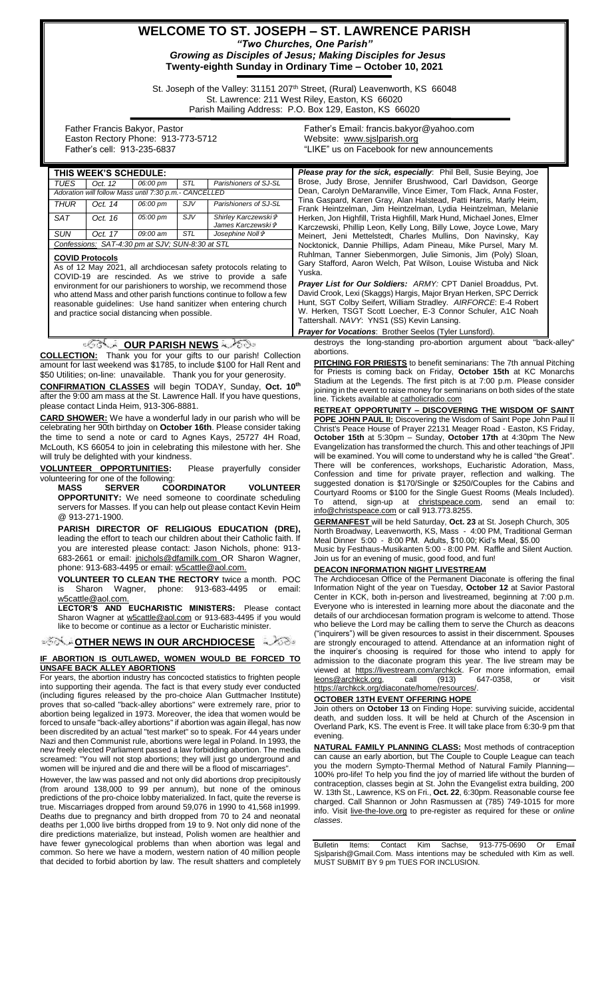## **WELCOME TO ST. JOSEPH – ST. LAWRENCE PARISH** *"Two Churches, One Parish"*

*Growing as Disciples of Jesus; Making Disciples for Jesus* **Twenty-eighth Sunday in Ordinary Time – October 10, 2021**

St. Joseph of the Valley: 31151 207<sup>th</sup> Street, (Rural) Leavenworth, KS 66048 St. Lawrence: 211 West Riley, Easton, KS 66020 Parish Mailing Address: P.O. Box 129, Easton, KS 66020

 Father Francis Bakyor, Pastor Easton Rectory Phone: 913-773-5712 Father's cell: 913-235-6837

Father's Email*:* francis.bakyor@yahoo.com Website: [www.sjslparish.org](http://www.sjslparish.org/) "LIKE" us on Facebook for new announcements

| THIS WEEK'S SCHEDULE:                                 |         |          |            |                                            |
|-------------------------------------------------------|---------|----------|------------|--------------------------------------------|
| <b>TUES</b>                                           | Oct. 12 | 06:00 pm | <b>STL</b> | Parishioners of SJ-SL                      |
| Adoration will follow Mass until 7:30 p.m.- CANCELLED |         |          |            |                                            |
| <b>THUR</b>                                           | Oct. 14 | 06:00 pm | <b>SJV</b> | Parishioners of SJ-SL                      |
| <b>SAT</b>                                            | Oct. 16 | 05:00 pm | $S$ JV     | Shirley Karczewski &<br>James Karczewski & |
| SUN                                                   | Oct. 17 | 09:00 am | <b>STL</b> | Josephine Noll &                           |
| Confessions: SAT-4:30 pm at SJV; SUN-8:30 at STL      |         |          |            |                                            |
|                                                       |         |          |            |                                            |

#### **COVID Protocols**

As of 12 May 2021, all archdiocesan safety protocols relating to COVID-19 are rescinded. As we strive to provide a safe environment for our parishioners to worship, we recommend those who attend Mass and other parish functions continue to follow a few reasonable guidelines: Use hand sanitizer when entering church and practice social distancing when possible.

#### **OUR PARISH NEWS**

**COLLECTION:** Thank you for your gifts to our parish! Collection amount for last weekend was \$1785, to include \$100 for Hall Rent and \$50 Utilities; on-line: unavailable. Thank you for your generosity.

**CONFIRMATION CLASSES** will begin TODAY, Sunday, **Oct. 10th** after the 9:00 am mass at the St. Lawrence Hall. If you have questions, please contact Linda Heim, 913-306-8881.

**CARD SHOWER:** We have a wonderful lady in our parish who will be celebrating her 90th birthday on **October 16th**. Please consider taking the time to send a note or card to Agnes Kays, 25727 4H Road, McLouth, KS 66054 to join in celebrating this milestone with her. She will truly be delighted with your kindness.

**VOLUNTEER OPPORTUNITIES:** Please prayerfully consider volunteering for one of the following:<br>MASS SERVER CO

COORDINATOR VOLUNTEER **OPPORTUNITY:** We need someone to coordinate scheduling servers for Masses. If you can help out please contact Kevin Heim @ 913-271-1900.

**PARISH DIRECTOR OF RELIGIOUS EDUCATION (DRE),** leading the effort to teach our children about their Catholic faith. If you are interested please contact: Jason Nichols, phone: 913 683-2661 or email: [jnichols@dfamilk.com](mailto:jnichols@dfamilk.com)\_OR Sharon Wagner, phone: 913-683-4495 or email: [w5cattle@aol.com.](mailto:w5cattle@aol.com)

**VOLUNTEER TO CLEAN THE RECTORY** twice a month. POC<br>is Sharon Wagner. phone: 913-683-4495 or email: is Sharon Wagner, phone: 913-683-4495 or email: [w5cattle@aol.com.](mailto:w5cattle@aol.com)

**LECTOR'S AND EUCHARISTIC MINISTERS:** Please contact Sharon Wagner at [w5cattle@aol.com](mailto:w5cattle@aol.com) or 913-683-4495 if you would like to become or continue as a lector or Eucharistic minister.

**[O](http://www.google.com/url?sa=i&rct=j&q=&esrc=s&source=images&cd=&cad=rja&uact=8&ved=0CAcQjRxqFQoTCL3M6dfYlskCFQfIYwodK-sMqA&url=http://www.clipartpanda.com/categories/corner-scroll-design&psig=AFQjCNEcNGu-GRs-N_tcfj31hDOCKS7EqQ&ust=1447823402338642)THER NEWS IN OUR ARCHDIOCESE**

#### **IF ABORTION IS OUTLAWED, WOMEN WOULD BE FORCED TO UNSAFE BACK ALLEY ABORTIONS**

For years, the abortion industry has concocted statistics to frighten people into supporting their agenda. The fact is that every study ever conducted (including figures released by the pro-choice Alan Guttmacher Institute) proves that so-called "back-alley abortions" were extremely rare, prior to abortion being legalized in 1973. Moreover, the idea that women would be forced to unsafe "back-alley abortions" if abortion was again illegal, has now been discredited by an actual "test market" so to speak. For 44 years under Nazi and then Communist rule, abortions were legal in Poland. In 1993, the new freely elected Parliament passed a law forbidding abortion. The media screamed: "You will not stop abortions; they will just go underground and women will be injured and die and there will be a flood of miscarriages".

However, the law was passed and not only did abortions drop precipitously (from around 138,000 to 99 per annum), but none of the ominous predictions of the pro-choice lobby materialized. In fact, quite the reverse is true. Miscarriages dropped from around 59,076 in 1990 to 41,568 in1999. Deaths due to pregnancy and birth dropped from 70 to 24 and neonatal deaths per 1,000 live births dropped from 19 to 9. Not only did none of the dire predictions materialize, but instead, Polish women are healthier and have fewer gynecological problems than when abortion was legal and common. So here we have a modern, western nation of 40 million people that decided to forbid abortion by law. The result shatters and completely

Please pray for the sick, especially: Phil Bell, Susie Beying, Joe Brose, Judy Brose, Jennifer Brushwood, Carl Davidson, George Dean, Carolyn DeMaranville, Vince Eimer, Tom Flack, Anna Foster, Tina Gaspard, Karen Gray, Alan Halstead, Patti Harris, Marly Heim, Frank Heintzelman, Jim Heintzelman, Lydia Heintzelman, Melanie Herken, Jon Highfill, Trista Highfill, Mark Hund, Michael Jones, Elmer Karczewski, Phillip Leon, Kelly Long, Billy Lowe, Joyce Lowe, Mary Meinert, Jeni Mettelstedt, Charles Mullins, Don Navinsky, Kay Nocktonick, Dannie Phillips, Adam Pineau, Mike Pursel, Mary M. Ruhlman, Tanner Siebenmorgen, Julie Simonis, Jim (Poly) Sloan, Gary Stafford, Aaron Welch, Pat Wilson, Louise Wistuba and Nick Yuska.

*Prayer List for Our Soldiers: ARMY:* CPT Daniel Broaddus, Pvt. David Crook, Lexi (Skaggs) Hargis, Major Bryan Herken, SPC Derrick Hunt, SGT Colby Seifert, William Stradley. *AIRFORCE*: E-4 Robert W. Herken, TSGT Scott Loecher, E-3 Connor Schuler, A1C Noah Tattershall. *NAVY*: YNS1 (SS) Kevin Lansing.

#### **Prayer for Vocations: Brother Seelos (Tyler Lunsford)**

destroys the long-standing pro-abortion argument about "back-alley" abortions.

**PITCHING FOR PRIESTS** to benefit seminarians: The 7th annual Pitching for Priests is coming back on Friday, **October 15th** at KC Monarchs Stadium at the Legends. The first pitch is at 7:00 p.m. Please consider joining in the event to raise money for seminarians on both sides of the state line. Tickets available at catholicradio.com

**RETREAT OPPORTUNITY – DISCOVERING THE WISDOM OF SAINT POPE JOHN PAUL II:** Discovering the Wisdom of Saint Pope John Paul II Christ's Peace House of Prayer 22131 Meager Road - Easton, KS Friday, **October 15th** at 5:30pm – Sunday, **October 17th** at 4:30pm The New Evangelization has transformed the church. This and other teachings of JPII will be examined. You will come to understand why he is called "the Great". There will be conferences, workshops, Eucharistic Adoration, Mass, Confession and time for private prayer, reflection and walking. The suggested donation is \$170/Single or \$250/Couples for the Cabins and Courtyard Rooms or \$100 for the Single Guest Rooms (Meals Included). attend, sign-up at christspeace.com, send an email info@christspeace.com or call 913.773.8255.

**GERMANFEST** will be held Saturday, **Oct. 23** at St. Joseph Church, 305 North Broadway, Leavenworth, KS, Mass - 4:00 PM, Traditional German Meal Dinner 5:00 - 8:00 PM. Adults, \$10.00; Kid's Meal, \$5.00

Music by Festhaus-Musikanten 5:00 - 8:00 PM. Raffle and Silent Auction. Join us for an evening of music, good food, and fun!

#### **DEACON INFORMATION NIGHT LIVESTREAM**

The Archdiocesan Office of the Permanent Diaconate is offering the final Information Night of the year on Tuesday, **October 12** at Savior Pastoral Center in KCK, both in-person and livestreamed, beginning at 7:00 p.m. Everyone who is interested in learning more about the diaconate and the details of our archdiocesan formation program is welcome to attend. Those who believe the Lord may be calling them to serve the Church as deacons ("inquirers") will be given resources to assist in their discernment. Spouses are strongly encouraged to attend. Attendance at an information night of the inquirer's choosing is required for those who intend to apply for admission to the diaconate program this year. The live stream may be viewed at https://livestream.com/archkck. For more information, email<br>leons@archkck.org. call (913) 647-0358. or visit leons@archkck.org, call (913) 647-0358, or visit https://archkck.org/diaconate/home/resources/.

#### **OCTOBER 13TH EVENT OFFERING HOPE**

Join others on **October 13** on Finding Hope: surviving suicide, accidental death, and sudden loss. It will be held at Church of the Ascension in Overland Park, KS. The event is Free. It will take place from 6:30-9 pm that evening.

**NATURAL FAMILY PLANNING CLASS:** Most methods of contraception can cause an early abortion, but The Couple to Couple League can teach you the modern Sympto-Thermal Method of Natural Family Planning— 100% pro-life! To help you find the joy of married life without the burden of contraception, classes begin at St. John the Evangelist extra building, 200 W. 13th St., Lawrence, KS on Fri., **Oct. 22**, 6:30pm. Reasonable course fee charged. Call Shannon or John Rasmussen at (785) 749-1015 for more info. Visit [live-the-love.org](http://live-the-love.org/) to pre-register as required for these or *online classes*.

Bulletin Items: Contact Kim Sachse, 913-775-0690 Or Email Sjslparish@Gmail.Com. Mass intentions may be scheduled with Kim as well. MUST SUBMIT BY 9 pm TUES FOR INCLUSION.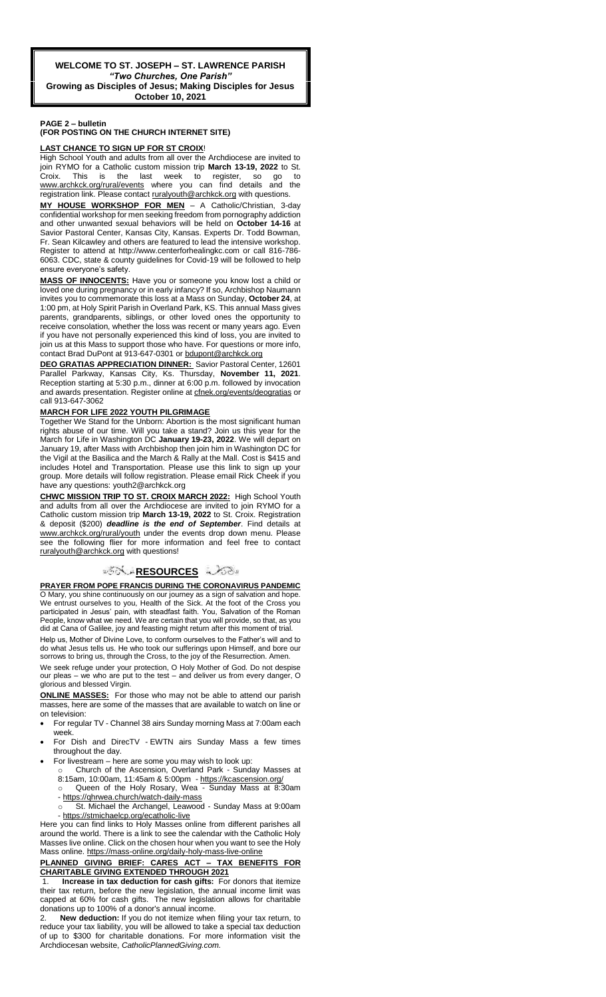#### **PAGE 2 – bulletin**

#### **(FOR POSTING ON THE CHURCH INTERNET SITE)**

#### **LAST CHANCE TO SIGN UP FOR ST CROIX**!

High School Youth and adults from all over the Archdiocese are invited to join RYMO for a Catholic custom mission trip **March 13-19, 2022** to St. is the last week to register, www.archkck.org/rural/events where you can find details and the registration link. Please contact ruralyouth@archkck.org with questions.

**MY HOUSE WORKSHOP FOR MEN** – A Catholic/Christian, 3-day confidential workshop for men seeking freedom from pornography addiction and other unwanted sexual behaviors will be held on **October 14-16** at Savior Pastoral Center, Kansas City, Kansas. Experts Dr. Todd Bowman, Fr. Sean Kilcawley and others are featured to lead the intensive workshop. Register to attend at http://www.centerforhealingkc.com or call 816-786- 6063. CDC, state & county guidelines for Covid-19 will be followed to help ensure everyone's safety.

**MASS OF INNOCENTS:** Have you or someone you know lost a child or loved one during pregnancy or in early infancy? If so, Archbishop Naumann invites you to commemorate this loss at a Mass on Sunday, **October 24**, at 1:00 pm, at Holy Spirit Parish in Overland Park, KS. This annual Mass gives parents, grandparents, siblings, or other loved ones the opportunity to receive consolation, whether the loss was recent or many years ago. Even if you have not personally experienced this kind of loss, you are invited to join us at this Mass to support those who have. For questions or more info, contact Brad DuPont at 913-647-0301 or [bdupont@archkck.org](mailto:bdupont@archkck.org)

**DEO GRATIAS APPRECIATION DINNER:** Savior Pastoral Center, 12601 Parallel Parkway, Kansas City, Ks. Thursday, **November 11, 2021**. Reception starting at 5:30 p.m., dinner at 6:00 p.m. followed by invocation and awards presentation. Register online a[t cfnek.org/events/deogratias](http://cfnek.org/events/deogratias) or call 913-647-3062

#### **MARCH FOR LIFE 2022 YOUTH PILGRIMAGE**

Together We Stand for the Unborn: Abortion is the most significant human rights abuse of our time. Will you take a stand? Join us this year for the March for Life in Washington DC **January 19-23, 2022**. We will depart on January 19, after Mass with Archbishop then join him in Washington DC for the Vigil at the Basilica and the March & Rally at the Mall. Cost is \$415 and includes Hotel and Transportation. Please use this link to sign up your group. More details will follow registration. Please email Rick Cheek if you have any questions: youth2@archkck.org

**CHWC MISSION TRIP TO ST. CROIX MARCH 2022:** High School Youth and adults from all over the Archdiocese are invited to join RYMO for a Catholic custom mission trip **March 13-19, 2022** to St. Croix. Registration & deposit (\$200) *deadline is the end of September*. Find details at www.archkck.org/rural/youth under the events drop down menu. Please see the following flier for more information and feel free to contact ruralyouth@archkck.org with questions!

#### ್**ಗತ<u>ಿRESOURCE</u>S ವಿಶಾ**

**PRAYER FROM POPE FRANCIS DURING THE CORONAVIRUS PANDEMIC** O Mary, you shine continuously on our journey as a sign of salvation and hope. We entrust ourselves to you, Health of the Sick. At the foot of the Cross you participated in Jesus' pain, with steadfast faith. You, Salvation of the Roman People, know what we need. We are certain that you will provide, so that, as you did at Cana of Galilee, joy and feasting might return after this moment of trial.

Help us, Mother of Divine Love, to conform ourselves to the Father's will and to do what Jesus tells us. He who took our sufferings upon Himself, and bore our sorrows to bring us, through the Cross, to the joy of the Resurrection. Amen.

We seek refuge under your protection, O Holy Mother of God. Do not despise our pleas – we who are put to the test – and deliver us from every danger, O glorious and blessed Virgin.

**ONLINE MASSES:** For those who may not be able to attend our parish masses, here are some of the masses that are available to watch on line or on television:

- For regular TV Channel 38 airs Sunday morning Mass at 7:00am each week.
- For Dish and DirecTV EWTN airs Sunday Mass a few times throughout the day.
- For livestream here are some you may wish to look up:
	- Church of the Ascension, Overland Park Sunday Masses at 8:15am, 10:00am, 11:45am & 5:00pm - <https://kcascension.org/> Queen of the Holy Rosary, Wea - Sunday Mass at 8:30am
	- <https://qhrwea.church/watch-daily-mass> St. Michael the Archangel, Leawood - Sunday Mass at 9:00am
- <https://stmichaelcp.org/ecatholic-live> Here you can find links to Holy Masses online from different parishes all

around the world. There is a link to see the calendar with the Catholic Holy Masses live online. Click on the chosen hour when you want to see the Holy Mass online[. https://mass-online.org/daily-holy-mass-live-online](https://mass-online.org/daily-holy-mass-live-online)

#### **PLANNED GIVING BRIEF: CARES ACT - TAX BENEFITS CHARITABLE GIVING EXTENDED THROUGH 2021**

1. **Increase in tax deduction for cash gifts:** For donors that itemize their tax return, before the new legislation, the annual income limit was capped at 60% for cash gifts. The new legislation allows for charitable donations up to 100% of a donor's annual income.

2. **New deduction:** If you do not itemize when filing your tax return, to reduce your tax liability, you will be allowed to take a special tax deduction of up to \$300 for charitable donations. For more information visit the Archdiocesan website, *CatholicPlannedGiving.com.*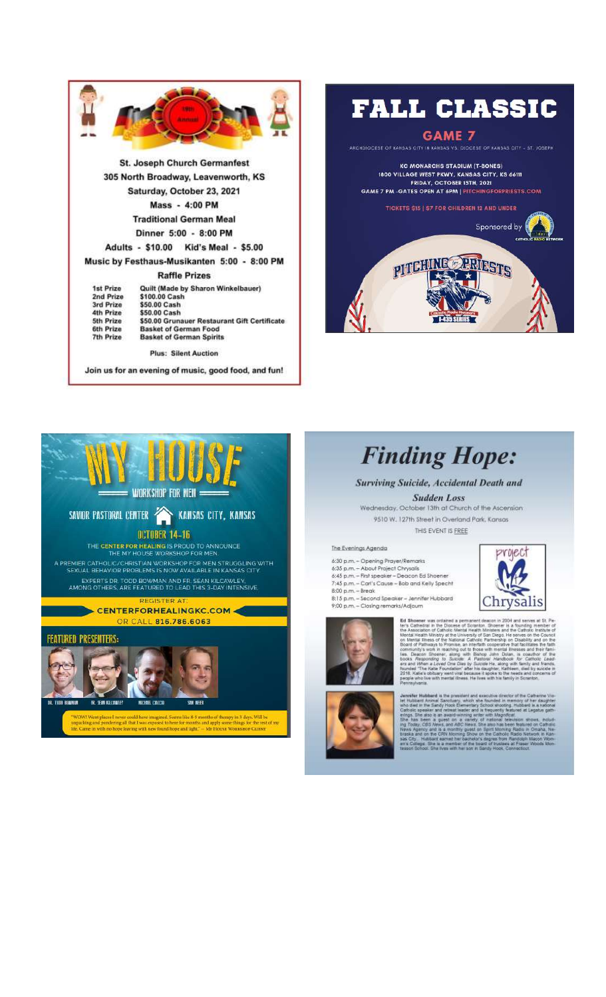





# **Finding Hope:**

Surviving Suicide, Accidental Death and

**Sudden Loss** Wednesday, October 13th at Church of the Ascension 9510 W. 127th Street in Overland Park, Kansas THIS EVENT IS FREE

#### The Evenings Agenda

6:30 p.m. – Opening Prayer/Remarks<br>6:35 p.m. – Abaut Project Chrysals<br>6:45 p.m. – First speaker – Deacon Ed Shoener 7:45 p.m. - Carl's Cause - Bob and Kelly Specht -1900 p.m. – Break<br>8:00 p.m. – Break<br>8:15 p.m. – Second Speaker – Jennifer Hubbard<br>9:00 p.m. – Closing remarks/Adjaum



**Ed Shoener** was ordained a permanent deach<br>the Scarbistal in the Disconse of Soundary and the Association of Calindar Metal Health Mini<br>on Metal Health Ministry at the University of San Bond of Pathology and the Particle

project

Chrysalis